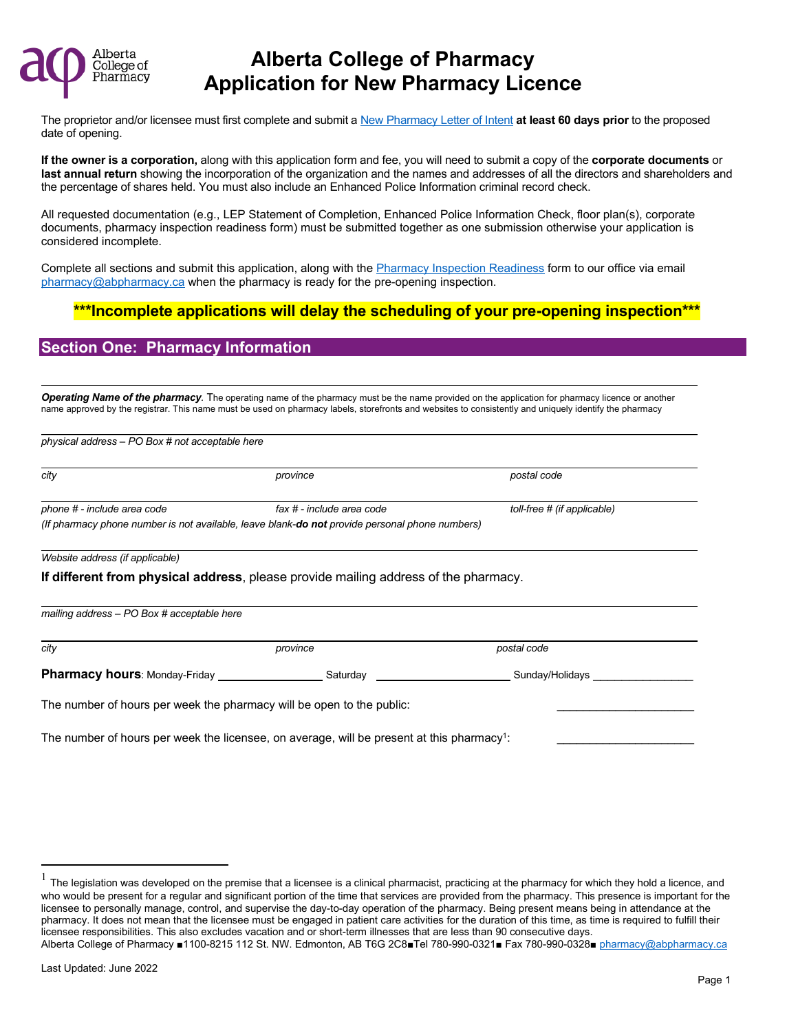

The proprietor and/or licensee must first complete and submit [a New Pharmacy Letter of Intent](https://abpharmacy.ca/sites/default/files/NewPharmacyLetterofIntent.pdf) **at least 60 days prior** to the proposed date of opening.

**If the owner is a corporation,** along with this application form and fee, you will need to submit a copy of the **corporate documents** or **last annual return** showing the incorporation of the organization and the names and addresses of all the directors and shareholders and the percentage of shares held. You must also include an Enhanced Police Information criminal record check.

All requested documentation (e.g., LEP Statement of Completion, Enhanced Police Information Check, floor plan(s), corporate documents, pharmacy inspection readiness form) must be submitted together as one submission otherwise your application is considered incomplete.

Complete all sections and submit this application, along with th[e Pharmacy Inspection Readiness](https://abpharmacy.ca/sites/default/files/InspectionReadinessForm.pdf) form to our office via email [pharmacy@abpharmacy.ca](mailto:pharmacy@abpharmacy.ca) when the pharmacy is ready for the pre-opening inspection.

### **\*\*\*Incomplete applications will delay the scheduling of your pre-opening inspection\*\*\***

#### **Section One: Pharmacy Information**

*Operating Name of the pharmacy.* The operating name of the pharmacy must be the name provided on the application for pharmacy licence or another name approved by the registrar. This name must be used on pharmacy labels, storefronts and websites to consistently and uniquely identify the pharmacy

| city                                                 | province                                                                                       | postal code                 |
|------------------------------------------------------|------------------------------------------------------------------------------------------------|-----------------------------|
| phone # - include area code                          | fax # - include area code                                                                      | toll-free # (if applicable) |
|                                                      | (If pharmacy phone number is not available, leave blank-do not provide personal phone numbers) |                             |
| Website address (if applicable)                      |                                                                                                |                             |
|                                                      |                                                                                                |                             |
|                                                      | If different from physical address, please provide mailing address of the pharmacy.            |                             |
|                                                      |                                                                                                |                             |
|                                                      |                                                                                                |                             |
| mailing address $-$ PO Box # acceptable here<br>city | province                                                                                       | postal code                 |
| <b>Pharmacy hours: Monday-Friday</b>                 | Saturday                                                                                       | Sunday/Holidays             |

<span id="page-0-0"></span>Alberta College of Pharmacy ■1100-8215 112 St. NW. Edmonton, AB T6G 2C8■Tel 780-990-0321■ Fax 780-990-0328■ [pharmacy@abpharmacy.ca](mailto:pharmacy@abpharmacy.ca) 1 The legislation was developed on the premise that a licensee is a clinical pharmacist, practicing at the pharmacy for which they hold a licence, and who would be present for a regular and significant portion of the time that services are provided from the pharmacy. This presence is important for the licensee to personally manage, control, and supervise the day-to-day operation of the pharmacy. Being present means being in attendance at the pharmacy. It does not mean that the licensee must be engaged in patient care activities for the duration of this time, as time is required to fulfill their licensee responsibilities. This also excludes vacation and or short-term illnesses that are less than 90 consecutive days.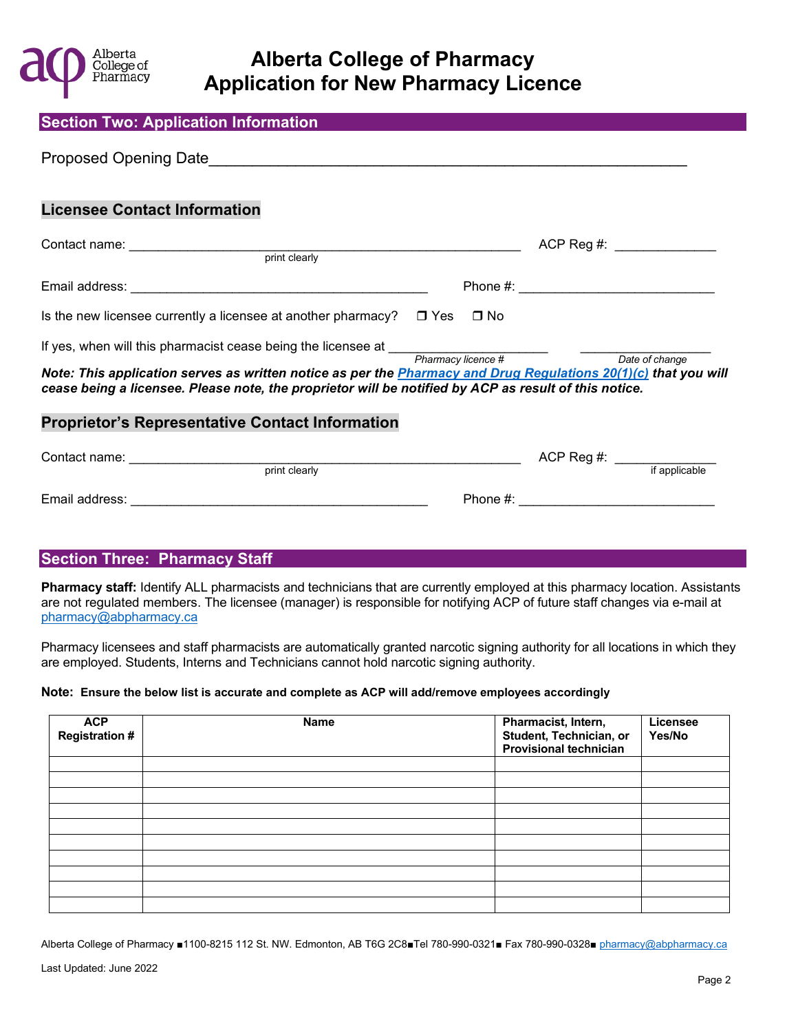

| <b>Section Two: Application Information</b>                                                                                                                                                                                                                                                                                                                                                   |  |                                               |  |
|-----------------------------------------------------------------------------------------------------------------------------------------------------------------------------------------------------------------------------------------------------------------------------------------------------------------------------------------------------------------------------------------------|--|-----------------------------------------------|--|
|                                                                                                                                                                                                                                                                                                                                                                                               |  |                                               |  |
| <b>Licensee Contact Information</b>                                                                                                                                                                                                                                                                                                                                                           |  |                                               |  |
|                                                                                                                                                                                                                                                                                                                                                                                               |  | $ACP$ Reg #:                                  |  |
|                                                                                                                                                                                                                                                                                                                                                                                               |  |                                               |  |
| Is the new licensee currently a licensee at another pharmacy? $\square$ Yes $\square$ No                                                                                                                                                                                                                                                                                                      |  |                                               |  |
| If yes, when will this pharmacist cease being the licensee at $\frac{p_{\text{harmacy license}}}{p_{\text{harmacy license}} + p_{\text{harmacy license}}}$<br>Note: This application serves as written notice as per the <b>Pharmacy and Drug Regulations 20(1)(c)</b> that you will<br>cease being a licensee. Please note, the proprietor will be notified by ACP as result of this notice. |  | Date of change                                |  |
| <b>Proprietor's Representative Contact Information</b>                                                                                                                                                                                                                                                                                                                                        |  |                                               |  |
| print clearly                                                                                                                                                                                                                                                                                                                                                                                 |  | $ACP$ Reg #: $\frac{1}{\text{if applicable}}$ |  |

### **Section Three: Pharmacy Staff**

**Pharmacy staff:** Identify ALL pharmacists and technicians that are currently employed at this pharmacy location. Assistants are not regulated members. The licensee (manager) is responsible for notifying ACP of future staff changes via e-mail at [pharmacy@abpharmacy.ca](mailto:pharmacy@abpharmacy.ca)

Email address: \_\_\_\_\_\_\_\_\_\_\_\_\_\_\_\_\_\_\_\_\_\_\_\_\_\_\_\_\_\_\_\_\_\_\_\_\_\_\_\_\_ Phone #: \_\_\_\_\_\_\_\_\_\_\_\_\_\_\_\_\_\_\_\_\_\_\_\_\_\_\_

Pharmacy licensees and staff pharmacists are automatically granted narcotic signing authority for all locations in which they are employed. Students, Interns and Technicians cannot hold narcotic signing authority.

#### **Note: Ensure the below list is accurate and complete as ACP will add/remove employees accordingly**

| <b>ACP</b><br><b>Registration #</b> | <b>Name</b> | Pharmacist, Intern,<br>Student, Technician, or<br><b>Provisional technician</b> | <b>Licensee</b><br>Yes/No |
|-------------------------------------|-------------|---------------------------------------------------------------------------------|---------------------------|
|                                     |             |                                                                                 |                           |
|                                     |             |                                                                                 |                           |
|                                     |             |                                                                                 |                           |
|                                     |             |                                                                                 |                           |
|                                     |             |                                                                                 |                           |
|                                     |             |                                                                                 |                           |
|                                     |             |                                                                                 |                           |
|                                     |             |                                                                                 |                           |
|                                     |             |                                                                                 |                           |
|                                     |             |                                                                                 |                           |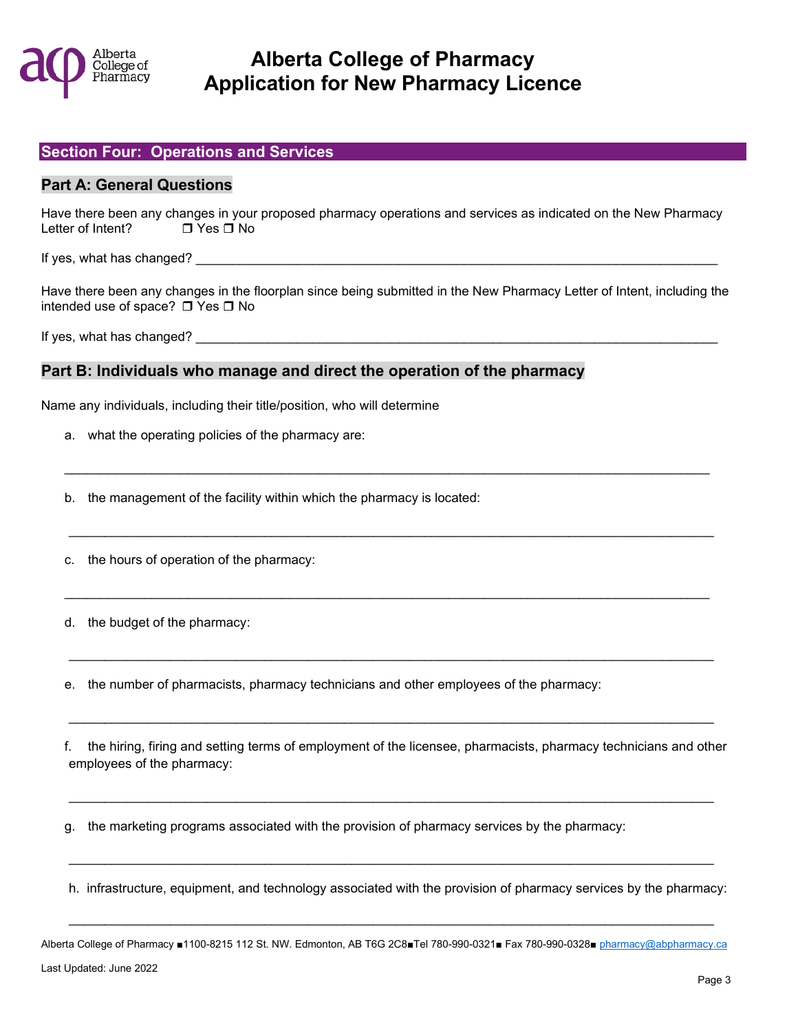

#### **Section Four: Operations and Services**

#### **Part A: General Questions**

Have there been any changes in your proposed pharmacy operations and services as indicated on the New Pharmacy Letter of Intent? □ Yes □ No

If yes, what has changed?

Have there been any changes in the floorplan since being submitted in the New Pharmacy Letter of Intent, including the intended use of space?  $\Box$  Yes  $\Box$  No

If yes, what has changed? The state of the state of the state of the state of the state of the state of the state of the state of the state of the state of the state of the state of the state of the state of the state of t

#### **Part B: Individuals who manage and direct the operation of the pharmacy**

Name any individuals, including their title/position, who will determine

a. what the operating policies of the pharmacy are:

b. the management of the facility within which the pharmacy is located:

c. the hours of operation of the pharmacy:

d. the budget of the pharmacy:

e. the number of pharmacists, pharmacy technicians and other employees of the pharmacy:

f. the hiring, firing and setting terms of employment of the licensee, pharmacists, pharmacy technicians and other employees of the pharmacy:

 $\mathcal{L}_\mathcal{L} = \mathcal{L}_\mathcal{L} = \mathcal{L}_\mathcal{L} = \mathcal{L}_\mathcal{L} = \mathcal{L}_\mathcal{L} = \mathcal{L}_\mathcal{L} = \mathcal{L}_\mathcal{L} = \mathcal{L}_\mathcal{L} = \mathcal{L}_\mathcal{L} = \mathcal{L}_\mathcal{L} = \mathcal{L}_\mathcal{L} = \mathcal{L}_\mathcal{L} = \mathcal{L}_\mathcal{L} = \mathcal{L}_\mathcal{L} = \mathcal{L}_\mathcal{L} = \mathcal{L}_\mathcal{L} = \mathcal{L}_\mathcal{L}$ 

 $\mathcal{L}_\mathcal{L} = \mathcal{L}_\mathcal{L} = \mathcal{L}_\mathcal{L} = \mathcal{L}_\mathcal{L} = \mathcal{L}_\mathcal{L} = \mathcal{L}_\mathcal{L} = \mathcal{L}_\mathcal{L} = \mathcal{L}_\mathcal{L} = \mathcal{L}_\mathcal{L} = \mathcal{L}_\mathcal{L} = \mathcal{L}_\mathcal{L} = \mathcal{L}_\mathcal{L} = \mathcal{L}_\mathcal{L} = \mathcal{L}_\mathcal{L} = \mathcal{L}_\mathcal{L} = \mathcal{L}_\mathcal{L} = \mathcal{L}_\mathcal{L}$ 

 $\mathcal{L}_\mathcal{L} = \mathcal{L}_\mathcal{L} = \mathcal{L}_\mathcal{L} = \mathcal{L}_\mathcal{L} = \mathcal{L}_\mathcal{L} = \mathcal{L}_\mathcal{L} = \mathcal{L}_\mathcal{L} = \mathcal{L}_\mathcal{L} = \mathcal{L}_\mathcal{L} = \mathcal{L}_\mathcal{L} = \mathcal{L}_\mathcal{L} = \mathcal{L}_\mathcal{L} = \mathcal{L}_\mathcal{L} = \mathcal{L}_\mathcal{L} = \mathcal{L}_\mathcal{L} = \mathcal{L}_\mathcal{L} = \mathcal{L}_\mathcal{L}$ 

g. the marketing programs associated with the provision of pharmacy services by the pharmacy:

h. infrastructure, equipment, and technology associated with the provision of pharmacy services by the pharmacy:

 $\mathcal{L}_\mathcal{L} = \mathcal{L}_\mathcal{L} = \mathcal{L}_\mathcal{L} = \mathcal{L}_\mathcal{L} = \mathcal{L}_\mathcal{L} = \mathcal{L}_\mathcal{L} = \mathcal{L}_\mathcal{L} = \mathcal{L}_\mathcal{L} = \mathcal{L}_\mathcal{L} = \mathcal{L}_\mathcal{L} = \mathcal{L}_\mathcal{L} = \mathcal{L}_\mathcal{L} = \mathcal{L}_\mathcal{L} = \mathcal{L}_\mathcal{L} = \mathcal{L}_\mathcal{L} = \mathcal{L}_\mathcal{L} = \mathcal{L}_\mathcal{L}$ 

\_\_\_\_\_\_\_\_\_\_\_\_\_\_\_\_\_\_\_\_\_\_\_\_\_\_\_\_\_\_\_\_\_\_\_\_\_\_\_\_\_\_\_\_\_\_\_\_\_\_\_\_\_\_\_\_\_\_\_\_\_\_\_\_\_\_\_\_\_\_\_\_\_\_\_\_\_\_\_\_\_\_\_\_\_\_\_\_\_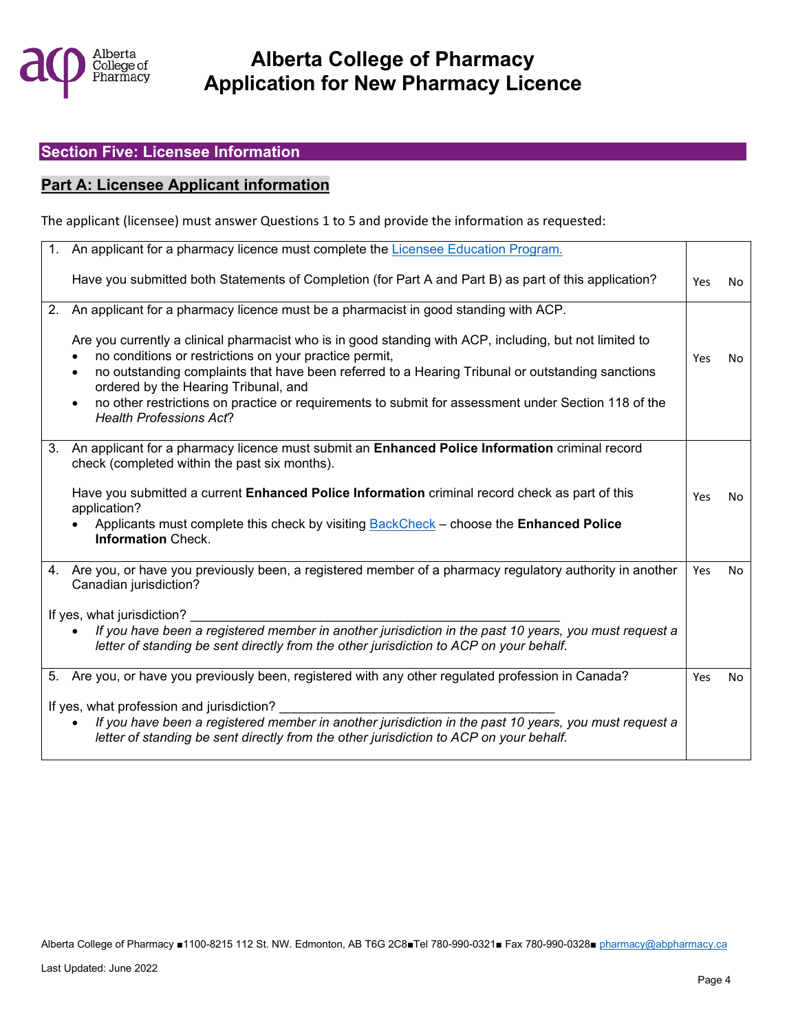

### **Section Five: Licensee Information**

### **Part A: Licensee Applicant information**

The applicant (licensee) must answer Questions 1 to 5 and provide the information as requested:

|    | An applicant for a pharmacy licence must complete the Licensee Education Program.                                                                                                                                                                                                                                                                                                                                                                                                |            |           |
|----|----------------------------------------------------------------------------------------------------------------------------------------------------------------------------------------------------------------------------------------------------------------------------------------------------------------------------------------------------------------------------------------------------------------------------------------------------------------------------------|------------|-----------|
|    | Have you submitted both Statements of Completion (for Part A and Part B) as part of this application?                                                                                                                                                                                                                                                                                                                                                                            | <b>Yes</b> | No        |
| 2. | An applicant for a pharmacy licence must be a pharmacist in good standing with ACP.                                                                                                                                                                                                                                                                                                                                                                                              |            |           |
|    | Are you currently a clinical pharmacist who is in good standing with ACP, including, but not limited to<br>no conditions or restrictions on your practice permit,<br>no outstanding complaints that have been referred to a Hearing Tribunal or outstanding sanctions<br>$\bullet$<br>ordered by the Hearing Tribunal, and<br>no other restrictions on practice or requirements to submit for assessment under Section 118 of the<br>$\bullet$<br><b>Health Professions Act?</b> | Yes        | <b>No</b> |
|    |                                                                                                                                                                                                                                                                                                                                                                                                                                                                                  |            |           |
| 3. | An applicant for a pharmacy licence must submit an <b>Enhanced Police Information</b> criminal record<br>check (completed within the past six months).                                                                                                                                                                                                                                                                                                                           |            |           |
|    | Have you submitted a current <b>Enhanced Police Information</b> criminal record check as part of this<br>application?                                                                                                                                                                                                                                                                                                                                                            | Yes        | <b>No</b> |
|    | Applicants must complete this check by visiting <b>BackCheck</b> - choose the <b>Enhanced Police</b><br><b>Information Check.</b>                                                                                                                                                                                                                                                                                                                                                |            |           |
|    | 4. Are you, or have you previously been, a registered member of a pharmacy regulatory authority in another<br>Canadian jurisdiction?                                                                                                                                                                                                                                                                                                                                             | Yes        | No        |
|    | If yes, what jurisdiction?                                                                                                                                                                                                                                                                                                                                                                                                                                                       |            |           |
|    | If you have been a registered member in another jurisdiction in the past 10 years, you must request a<br>letter of standing be sent directly from the other jurisdiction to ACP on your behalf.                                                                                                                                                                                                                                                                                  |            |           |
|    | 5. Are you, or have you previously been, registered with any other regulated profession in Canada?                                                                                                                                                                                                                                                                                                                                                                               | Yes        | <b>No</b> |
|    | If yes, what profession and jurisdiction?                                                                                                                                                                                                                                                                                                                                                                                                                                        |            |           |
|    | If you have been a registered member in another jurisdiction in the past 10 years, you must request a<br>$\bullet$<br>letter of standing be sent directly from the other jurisdiction to ACP on your behalf.                                                                                                                                                                                                                                                                     |            |           |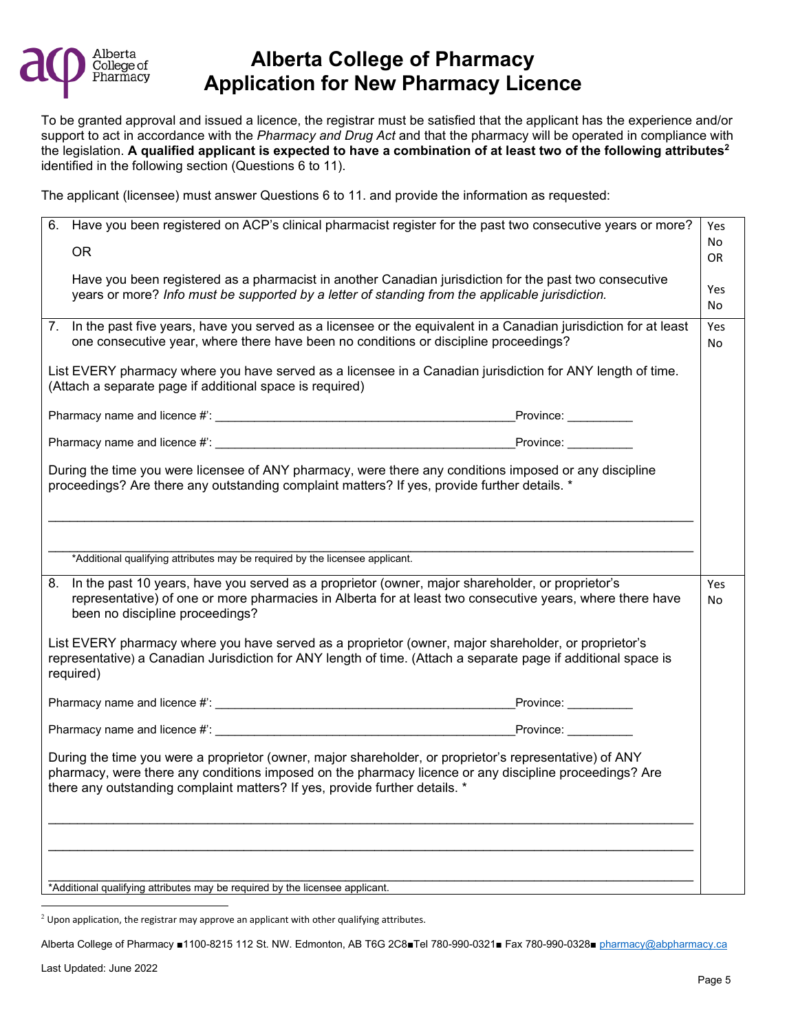

To be granted approval and issued a licence, the registrar must be satisfied that the applicant has the experience and/or support to act in accordance with the *Pharmacy and Drug Act* and that the pharmacy will be operated in compliance with the legislation. **A qualified applicant is expected to have a combination of at least two of the following attributes[2](#page-4-0)** identified in the following section (Questions 6 to 11).

The applicant (licensee) must answer Questions 6 to 11. and provide the information as requested:

|    | 6. Have you been registered on ACP's clinical pharmacist register for the past two consecutive years or more?                                                                                                                                                                                    | Yes       |
|----|--------------------------------------------------------------------------------------------------------------------------------------------------------------------------------------------------------------------------------------------------------------------------------------------------|-----------|
|    | OR.                                                                                                                                                                                                                                                                                              | No        |
|    |                                                                                                                                                                                                                                                                                                  | <b>OR</b> |
|    | Have you been registered as a pharmacist in another Canadian jurisdiction for the past two consecutive                                                                                                                                                                                           | Yes       |
|    | years or more? Info must be supported by a letter of standing from the applicable jurisdiction.                                                                                                                                                                                                  | No        |
|    | 7. In the past five years, have you served as a licensee or the equivalent in a Canadian jurisdiction for at least                                                                                                                                                                               | Yes       |
|    | one consecutive year, where there have been no conditions or discipline proceedings?                                                                                                                                                                                                             | No        |
|    | List EVERY pharmacy where you have served as a licensee in a Canadian jurisdiction for ANY length of time.<br>(Attach a separate page if additional space is required)                                                                                                                           |           |
|    |                                                                                                                                                                                                                                                                                                  |           |
|    | Pharmacy name and licence #: Note and the set of the set of the set of the set of the Province:                                                                                                                                                                                                  |           |
|    | During the time you were licensee of ANY pharmacy, were there any conditions imposed or any discipline<br>proceedings? Are there any outstanding complaint matters? If yes, provide further details. *                                                                                           |           |
|    |                                                                                                                                                                                                                                                                                                  |           |
|    | *Additional qualifying attributes may be required by the licensee applicant.                                                                                                                                                                                                                     |           |
|    |                                                                                                                                                                                                                                                                                                  |           |
| 8. | In the past 10 years, have you served as a proprietor (owner, major shareholder, or proprietor's<br>representative) of one or more pharmacies in Alberta for at least two consecutive years, where there have<br>been no discipline proceedings?                                                 | Yes<br>No |
|    | List EVERY pharmacy where you have served as a proprietor (owner, major shareholder, or proprietor's<br>representative) a Canadian Jurisdiction for ANY length of time. (Attach a separate page if additional space is<br>required)                                                              |           |
|    |                                                                                                                                                                                                                                                                                                  |           |
|    | Pharmacy name and licence #: example and the set of the set of the set of the set of the Province:                                                                                                                                                                                               |           |
|    | During the time you were a proprietor (owner, major shareholder, or proprietor's representative) of ANY<br>pharmacy, were there any conditions imposed on the pharmacy licence or any discipline proceedings? Are<br>there any outstanding complaint matters? If yes, provide further details. * |           |
|    |                                                                                                                                                                                                                                                                                                  |           |
|    |                                                                                                                                                                                                                                                                                                  |           |
|    |                                                                                                                                                                                                                                                                                                  |           |
|    | *Additional qualifying attributes may be required by the licensee applicant.                                                                                                                                                                                                                     |           |

<span id="page-4-0"></span> $2$  Upon application, the registrar may approve an applicant with other qualifying attributes.

Alberta College of Pharmacy ■1100-8215 112 St. NW. Edmonton, AB T6G 2C8■Tel 780-990-0321■ Fax 780-990-0328■ [pharmacy@abpharmacy.ca](mailto:pharmacy@abpharmacy.ca)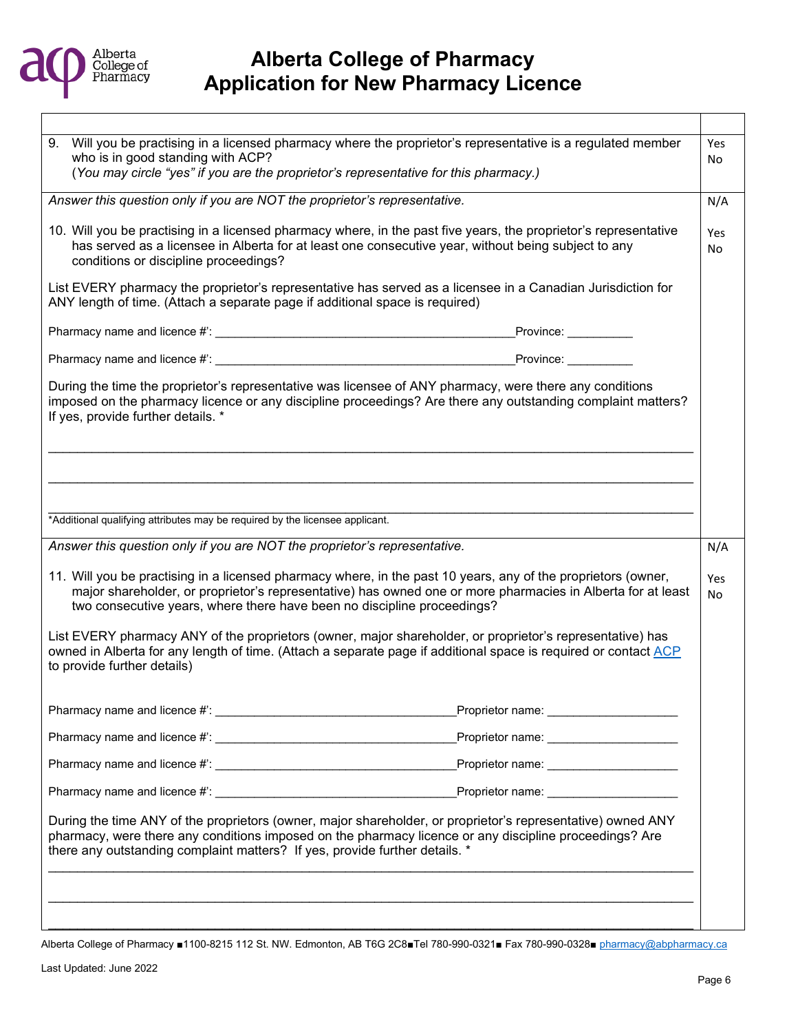

| 9. Will you be practising in a licensed pharmacy where the proprietor's representative is a regulated member<br>who is in good standing with ACP?                                                                                                                                                       |                                           | Yes<br>No |
|---------------------------------------------------------------------------------------------------------------------------------------------------------------------------------------------------------------------------------------------------------------------------------------------------------|-------------------------------------------|-----------|
| (You may circle "yes" if you are the proprietor's representative for this pharmacy.)                                                                                                                                                                                                                    |                                           |           |
| Answer this question only if you are NOT the proprietor's representative.                                                                                                                                                                                                                               |                                           | N/A       |
| 10. Will you be practising in a licensed pharmacy where, in the past five years, the proprietor's representative<br>has served as a licensee in Alberta for at least one consecutive year, without being subject to any<br>conditions or discipline proceedings?                                        |                                           | Yes<br>No |
| List EVERY pharmacy the proprietor's representative has served as a licensee in a Canadian Jurisdiction for<br>ANY length of time. (Attach a separate page if additional space is required)                                                                                                             |                                           |           |
|                                                                                                                                                                                                                                                                                                         |                                           |           |
|                                                                                                                                                                                                                                                                                                         | Province:                                 |           |
| During the time the proprietor's representative was licensee of ANY pharmacy, were there any conditions<br>imposed on the pharmacy licence or any discipline proceedings? Are there any outstanding complaint matters?<br>If yes, provide further details. *                                            |                                           |           |
|                                                                                                                                                                                                                                                                                                         |                                           |           |
|                                                                                                                                                                                                                                                                                                         |                                           |           |
| *Additional qualifying attributes may be required by the licensee applicant.                                                                                                                                                                                                                            |                                           |           |
| Answer this question only if you are NOT the proprietor's representative.                                                                                                                                                                                                                               |                                           | N/A       |
| 11. Will you be practising in a licensed pharmacy where, in the past 10 years, any of the proprietors (owner,<br>major shareholder, or proprietor's representative) has owned one or more pharmacies in Alberta for at least<br>two consecutive years, where there have been no discipline proceedings? |                                           | Yes<br>No |
| List EVERY pharmacy ANY of the proprietors (owner, major shareholder, or proprietor's representative) has<br>owned in Alberta for any length of time. (Attach a separate page if additional space is required or contact ACP<br>to provide further details)                                             |                                           |           |
| Pharmacy name and licence #: ____________                                                                                                                                                                                                                                                               | _Proprietor name: _______________________ |           |
|                                                                                                                                                                                                                                                                                                         |                                           |           |
|                                                                                                                                                                                                                                                                                                         |                                           |           |
|                                                                                                                                                                                                                                                                                                         |                                           |           |
| During the time ANY of the proprietors (owner, major shareholder, or proprietor's representative) owned ANY<br>pharmacy, were there any conditions imposed on the pharmacy licence or any discipline proceedings? Are<br>there any outstanding complaint matters? If yes, provide further details. *    |                                           |           |
|                                                                                                                                                                                                                                                                                                         |                                           |           |
|                                                                                                                                                                                                                                                                                                         |                                           |           |
|                                                                                                                                                                                                                                                                                                         |                                           |           |

Alberta College of Pharmacy ■1100-8215 112 St. NW. Edmonton, AB T6G 2C8■Tel 780-990-0321■ Fax 780-990-0328■ [pharmacy@abpharmacy.ca](mailto:pharmacy@abpharmacy.ca)

Т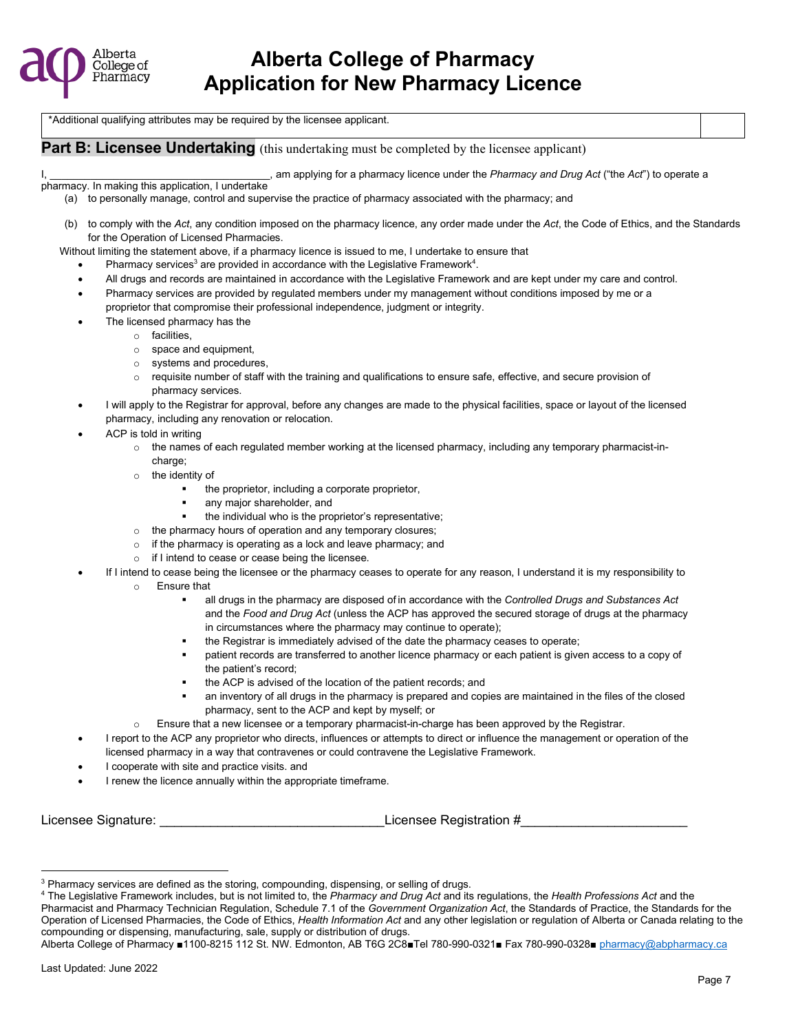

\*Additional qualifying attributes may be required by the licensee applicant.

**Part B: Licensee Undertaking** (this undertaking must be completed by the licensee applicant)

am applying for a pharmacy licence under the *Pharmacy and Drug Act* ("the *Act*") to operate a

pharmacy. In making this application, I undertake (a) to personally manage, control and supervise the practice of pharmacy associated with the pharmacy; and

- (b) to comply with the *Act*, any condition imposed on the pharmacy licence, any order made under the *Act*, the Code of Ethics, and the Standards for the Operation of Licensed Pharmacies.
- Without limiting the statement above, if a pharmacy licence is issued to me, I undertake to ensure that
	- Pharmacy [s](#page-6-0)ervices<sup>3</sup> are provided in accordance with the Legislative Framewor[k](#page-6-1)<sup>4</sup>.
	- All drugs and records are maintained in accordance with the Legislative Framework and are kept under my care and control.
	- Pharmacy services are provided by regulated members under my management without conditions imposed by me or a proprietor that compromise their professional independence, judgment or integrity.
		- The licensed pharmacy has the
			- o facilities,
				- o space and equipment,
				- o systems and procedures,
				- $\circ$  requisite number of staff with the training and qualifications to ensure safe, effective, and secure provision of pharmacy services.
	- I will apply to the Registrar for approval, before any changes are made to the physical facilities, space or layout of the licensed pharmacy, including any renovation or relocation.
	- ACP is told in writing
		- $\circ$  the names of each regulated member working at the licensed pharmacy, including any temporary pharmacist-incharge:
		- o the identity of
			- the proprietor, including a corporate proprietor,
			- any major shareholder, and
			- the individual who is the proprietor's representative;
		- o the pharmacy hours of operation and any temporary closures;
		- o if the pharmacy is operating as a lock and leave pharmacy; and
		- o if I intend to cease or cease being the licensee.
	- If I intend to cease being the licensee or the pharmacy ceases to operate for any reason, I understand it is my responsibility to
		- o Ensure that
			- all drugs in the pharmacy are disposed of in accordance with the *Controlled Drugs and Substances Act* and the *Food and Drug Act* (unless the ACP has approved the secured storage of drugs at the pharmacy in circumstances where the pharmacy may continue to operate);
				- the Registrar is immediately advised of the date the pharmacy ceases to operate;
			- patient records are transferred to another licence pharmacy or each patient is given access to a copy of the patient's record;
			- the ACP is advised of the location of the patient records; and
			- an inventory of all drugs in the pharmacy is prepared and copies are maintained in the files of the closed pharmacy, sent to the ACP and kept by myself; or
		- o Ensure that a new licensee or a temporary pharmacist-in-charge has been approved by the Registrar.
	- I report to the ACP any proprietor who directs, influences or attempts to direct or influence the management or operation of the licensed pharmacy in a way that contravenes or could contravene the Legislative Framework.
	- I cooperate with site and practice visits. and
	- I renew the licence annually within the appropriate timeframe.

Licensee Signature: \_\_\_\_\_\_\_\_\_\_\_\_\_\_\_\_\_\_\_\_\_\_\_\_\_\_\_\_\_\_\_Licensee Registration #\_\_\_\_\_\_\_\_\_\_\_\_\_\_\_\_\_\_\_\_\_\_\_

<span id="page-6-0"></span><sup>&</sup>lt;sup>3</sup> Pharmacy services are defined as the storing, compounding, dispensing, or selling of drugs.

<span id="page-6-1"></span><sup>4</sup> The Legislative Framework includes, but is not limited to, the *Pharmacy and Drug Act* and its regulations, the *Health Professions Act* and the Pharmacist and Pharmacy Technician Regulation, Schedule 7.1 of the *Government Organization Act*, the Standards of Practice, the Standards for the Operation of Licensed Pharmacies, the Code of Ethics, *Health Information Act* and any other legislation or regulation of Alberta or Canada relating to the compounding or dispensing, manufacturing, sale, supply or distribution of drugs.

Alberta College of Pharmacy ■1100-8215 112 St. NW. Edmonton, AB T6G 2C8■Tel 780-990-0321■ Fax 780-990-0328■ [pharmacy@abpharmacy.ca](mailto:pharmacy@abpharmacy.ca)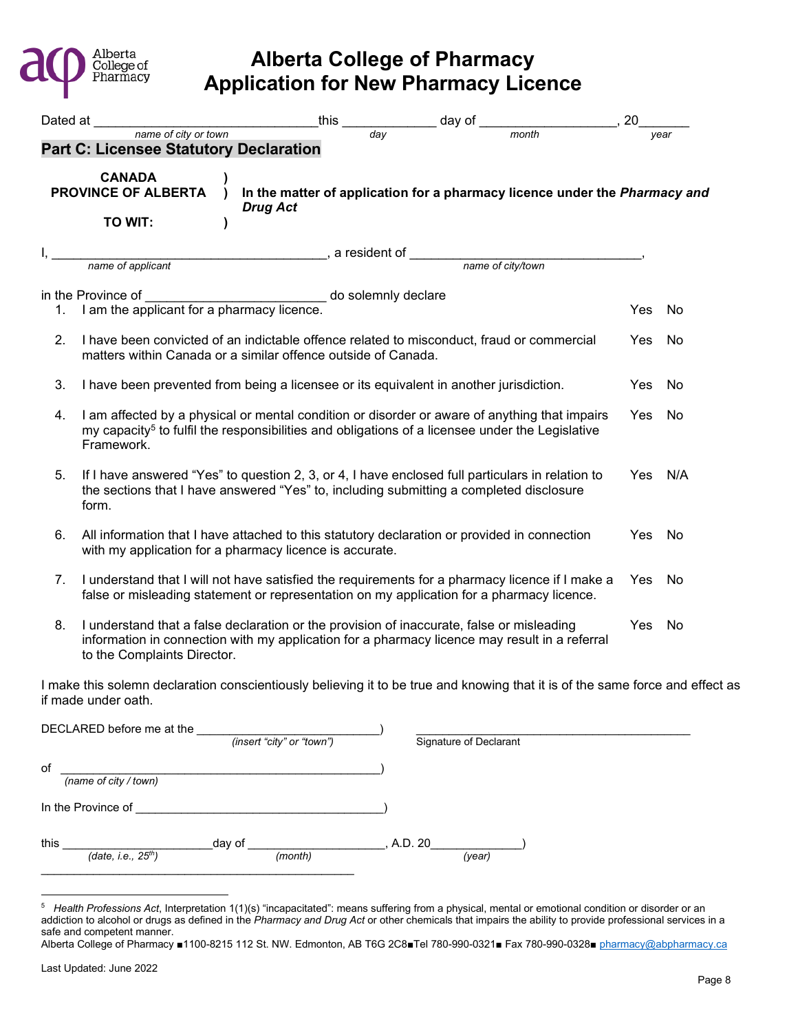

|    | Dated at <u>name</u> of city or town                                                                                                                                                                                       | this | $\frac{day}{day}$ day of $\frac{1}{month}$ , 20                            |         |      |
|----|----------------------------------------------------------------------------------------------------------------------------------------------------------------------------------------------------------------------------|------|----------------------------------------------------------------------------|---------|------|
|    | <b>Part C: Licensee Statutory Declaration</b>                                                                                                                                                                              |      |                                                                            |         | vear |
|    | <b>CANADA</b><br><b>PROVINCE OF ALBERTA</b><br><b>Drug Act</b><br>TO WIT:                                                                                                                                                  |      | In the matter of application for a pharmacy licence under the Pharmacy and |         |      |
|    | name of applicant denotes a manner of applicant density of the same of city/town                                                                                                                                           |      |                                                                            |         |      |
|    |                                                                                                                                                                                                                            |      |                                                                            |         |      |
|    | in the Province of<br>__________________________ do solemnly declare                                                                                                                                                       |      |                                                                            |         |      |
|    | 1. I am the applicant for a pharmacy licence.                                                                                                                                                                              |      |                                                                            | Yes     | No   |
| 2. | I have been convicted of an indictable offence related to misconduct, fraud or commercial<br>matters within Canada or a similar offence outside of Canada.                                                                 |      |                                                                            | Yes     | No   |
| 3. | I have been prevented from being a licensee or its equivalent in another jurisdiction.                                                                                                                                     |      |                                                                            | Yes     | No   |
| 4. | I am affected by a physical or mental condition or disorder or aware of anything that impairs<br>my capacity <sup>5</sup> to fulfil the responsibilities and obligations of a licensee under the Legislative<br>Framework. |      |                                                                            | Yes     | No   |
| 5. | If I have answered "Yes" to question 2, 3, or 4, I have enclosed full particulars in relation to<br>the sections that I have answered "Yes" to, including submitting a completed disclosure<br>form.                       |      |                                                                            | Yes N/A |      |
| 6. | All information that I have attached to this statutory declaration or provided in connection<br>with my application for a pharmacy licence is accurate.                                                                    |      |                                                                            | Yes     | No   |
| 7. | I understand that I will not have satisfied the requirements for a pharmacy licence if I make a<br>false or misleading statement or representation on my application for a pharmacy licence.                               |      |                                                                            | Yes     | No   |
| 8. | I understand that a false declaration or the provision of inaccurate, false or misleading<br>information in connection with my application for a pharmacy licence may result in a referral<br>to the Complaints Director.  |      |                                                                            | Yes     | No   |

I make this solemn declaration conscientiously believing it to be true and knowing that it is of the same force and effect as if made under oath.

| DECLARED before me at the        | (insert "city" or "town") | Signature of Declarant |
|----------------------------------|---------------------------|------------------------|
| оf<br>(name of city / town)      |                           |                        |
| In the Province of               |                           |                        |
| this<br>(date, i.e., $25^{th}$ ) | day of<br>(month)         | A.D. 20<br>(year)      |

<span id="page-7-0"></span><sup>5</sup> *Health Professions Act*, Interpretation 1(1)(s) "incapacitated": means suffering from a physical, mental or emotional condition or disorder or an addiction to alcohol or drugs as defined in the *Pharmacy and Drug Act* or other chemicals that impairs the ability to provide professional services in a safe and competent manner.

Alberta College of Pharmacy ■1100-8215 112 St. NW. Edmonton, AB T6G 2C8■Tel 780-990-0321■ Fax 780-990-0328■ [pharmacy@abpharmacy.ca](mailto:pharmacy@abpharmacy.ca)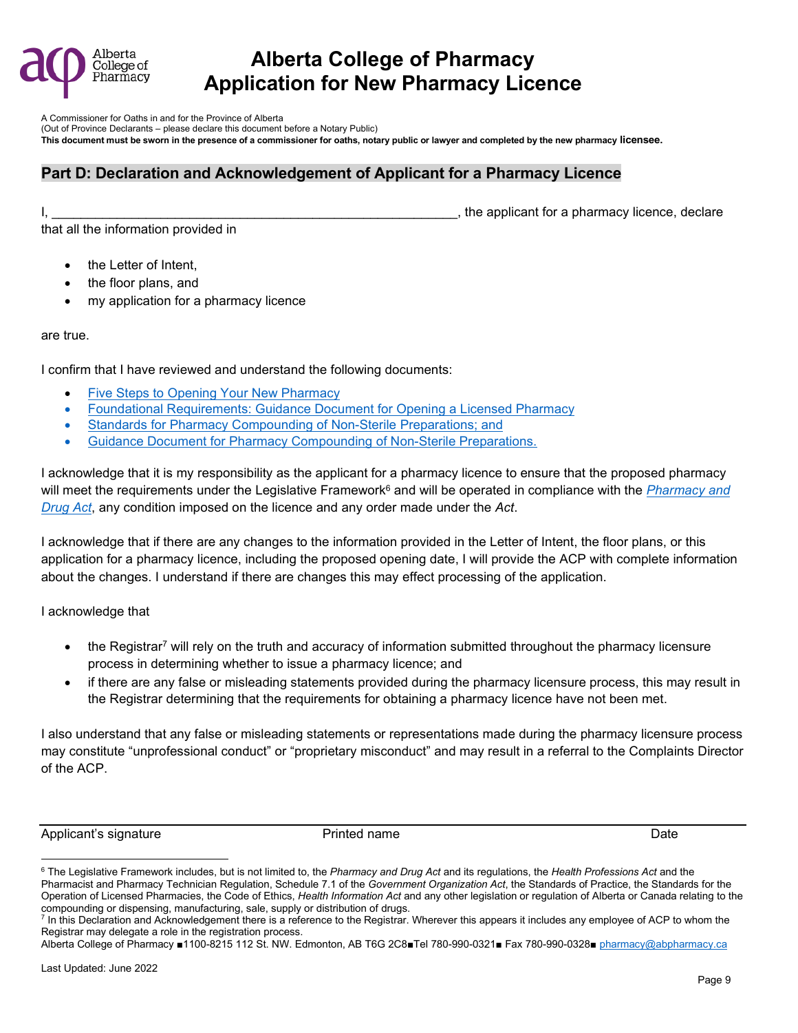

A Commissioner for Oaths in and for the Province of Alberta

(Out of Province Declarants – please declare this document before a Notary Public)

**This document must be sworn in the presence of a commissioner for oaths, notary public or lawyer and completed by the new pharmacy licensee.**

### **Part D: Declaration and Acknowledgement of Applicant for a Pharmacy Licence**

 $\blacksquare$ 

that all the information provided in

- the Letter of Intent,
- the floor plans, and
- my application for a pharmacy licence

are true.

I confirm that I have reviewed and understand the following documents:

- [Five Steps to Opening Your New Pharmacy](https://abpharmacy.ca/sites/default/files/FiveStepstoOpeningYourNewPharmacy.pdf)
- [Foundational Requirements: Guidance Document for Opening a Licensed Pharmacy](https://abpharmacy.ca/sites/default/files/FoundationalRequirementsGuidanceDocument.pdf)
- Standards for Pharmacy Compounding of Non-Sterile Preparations; and
- Guidance Document for Pharmacy Compounding of Non-Sterile Preparations.

I acknowledge that it is my responsibility as the applicant for a pharmacy licence to ensure that the proposed pharmacy will meet the requirements under the Legislative Framework<sup>[6](#page-8-0)</sup> and will be operated in compliance with the <u>Pharmacy and</u> *[Drug Act](http://www.qp.alberta.ca/1266.cfm?page=P13.cfm&leg_type=Acts&isbncln=9780779776818)*, any condition imposed on the licence and any order made under the *Act*.

I acknowledge that if there are any changes to the information provided in the Letter of Intent, the floor plans, or this application for a pharmacy licence, including the proposed opening date, I will provide the ACP with complete information about the changes. I understand if there are changes this may effect processing of the application.

I acknowledge that

- $\bullet$  the Regist[r](#page-8-1)ar<sup>7</sup> will rely on the truth and accuracy of information submitted throughout the pharmacy licensure process in determining whether to issue a pharmacy licence; and
- if there are any false or misleading statements provided during the pharmacy licensure process, this may result in the Registrar determining that the requirements for obtaining a pharmacy licence have not been met.

I also understand that any false or misleading statements or representations made during the pharmacy licensure process may constitute "unprofessional conduct" or "proprietary misconduct" and may result in a referral to the Complaints Director of the ACP.

Applicant's signature The Printed name Printed name Date Date is the Date of the Date of the Date

<span id="page-8-0"></span><sup>6</sup> The Legislative Framework includes, but is not limited to, the *Pharmacy and Drug Act* and its regulations, the *Health Professions Act* and the Pharmacist and Pharmacy Technician Regulation, Schedule 7.1 of the *Government Organization Act*, the Standards of Practice, the Standards for the Operation of Licensed Pharmacies, the Code of Ethics, *Health Information Act* and any other legislation or regulation of Alberta or Canada relating to the compounding or dispensing, manufacturing, sale, supply or distribution of drugs.

<span id="page-8-1"></span> $^7$  In this Declaration and Acknowledgement there is a reference to the Registrar. Wherever this appears it includes any employee of ACP to whom the Registrar may delegate a role in the registration process.

Alberta College of Pharmacy ■1100-8215 112 St. NW. Edmonton, AB T6G 2C8■Tel 780-990-0321■ Fax 780-990-0328■ [pharmacy@abpharmacy.ca](mailto:pharmacy@abpharmacy.ca)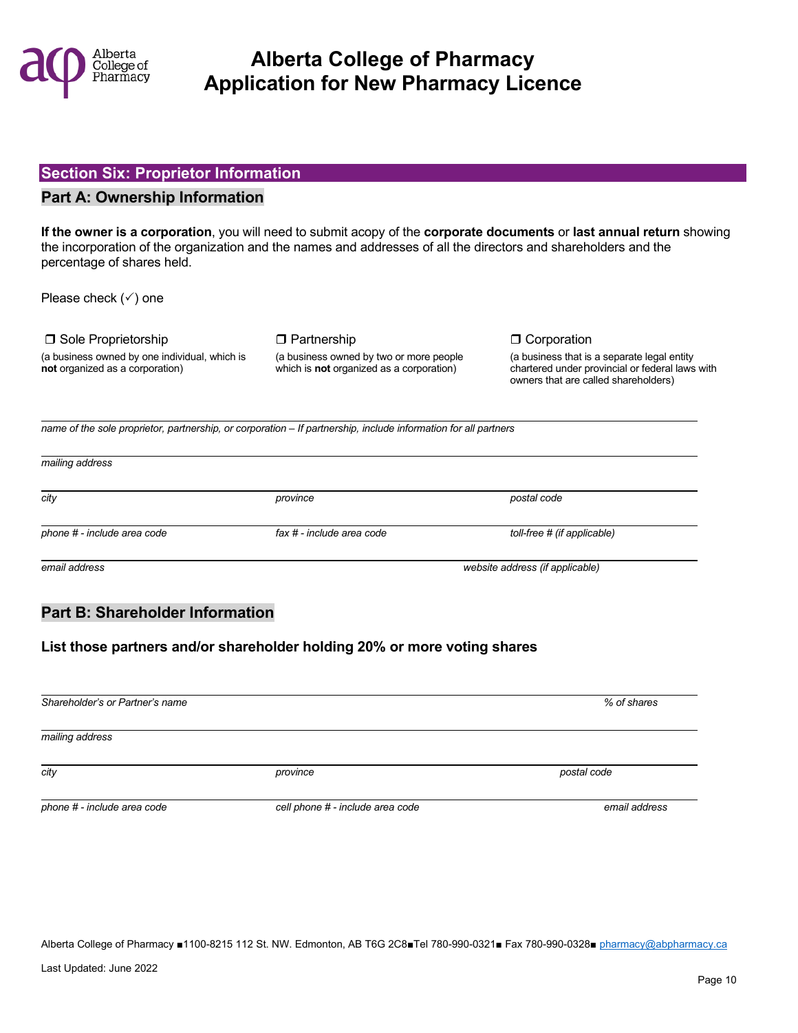

#### **Section Six: Proprietor Information**

#### **Part A: Ownership Information**

**If the owner is a corporation**, you will need to submit acopy of the **corporate documents** or **last annual return** showing the incorporation of the organization and the names and addresses of all the directors and shareholders and the percentage of shares held.

Please check  $(\checkmark)$  one

 $\square$  Sole Proprietorship  $\square$  Partnership  $\square$  Corporation (a business owned by one individual, which is (a business owned by two or more people (a business that is a separate legal entity or the that is a separate legal entity or the that is a separate legal entity or the that is

chartered under provincial or federal laws with owners that are called shareholders)

 *name of the sole proprietor, partnership, or corporation – If partnership, include information for all partners*

| mailing address             |                           |                                 |  |
|-----------------------------|---------------------------|---------------------------------|--|
| city                        | province                  | postal code                     |  |
| phone # - include area code | fax # - include area code | toll-free # (if applicable)     |  |
| email address               |                           | website address (if applicable) |  |

### **Part B: Shareholder Information**

### **List those partners and/or shareholder holding 20% or more voting shares**

| Shareholder's or Partner's name |                                  | % of shares   |
|---------------------------------|----------------------------------|---------------|
| mailing address                 |                                  |               |
| city                            | province                         | postal code   |
| phone # - include area code     | cell phone # - include area code | email address |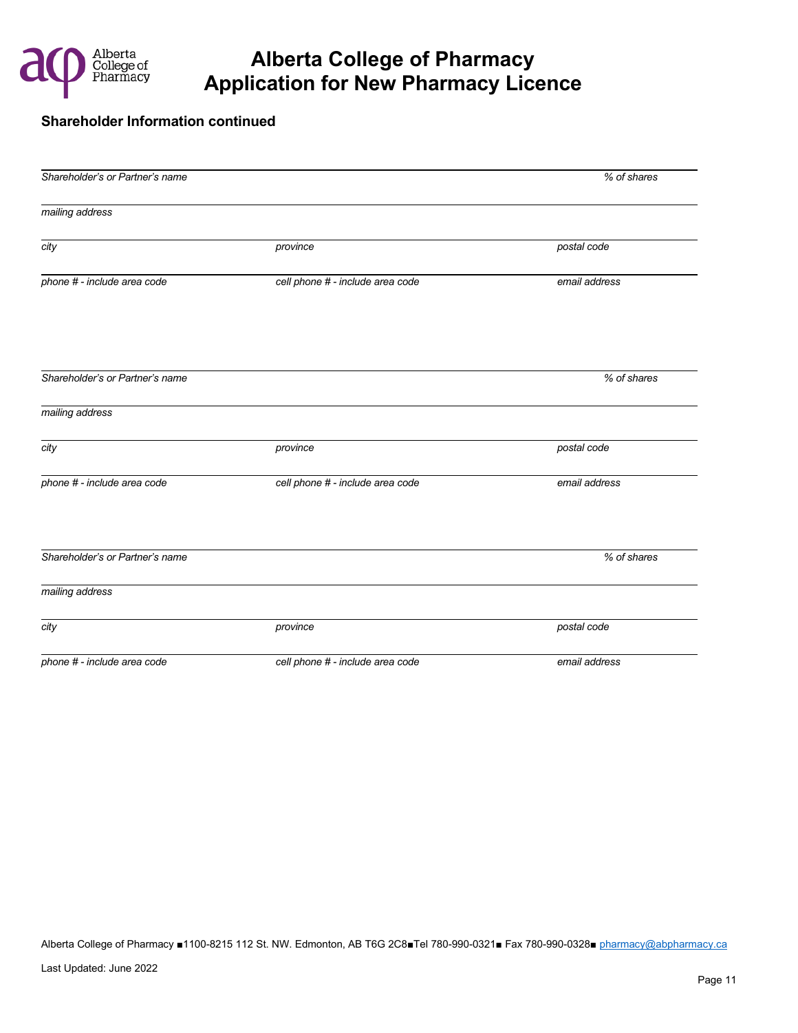

#### **Shareholder Information continued**

| Shareholder's or Partner's name |                                  | % of shares   |
|---------------------------------|----------------------------------|---------------|
| mailing address                 |                                  |               |
| city                            | province                         | postal code   |
| phone # - include area code     | cell phone # - include area code | email address |
| Shareholder's or Partner's name |                                  | % of shares   |
|                                 |                                  |               |
| mailing address                 |                                  |               |
| city                            | province                         | postal code   |
| phone # - include area code     | cell phone # - include area code | email address |
| Shareholder's or Partner's name |                                  | % of shares   |
| mailing address                 |                                  |               |
| city                            | province                         | postal code   |
| phone # - include area code     | cell phone # - include area code | email address |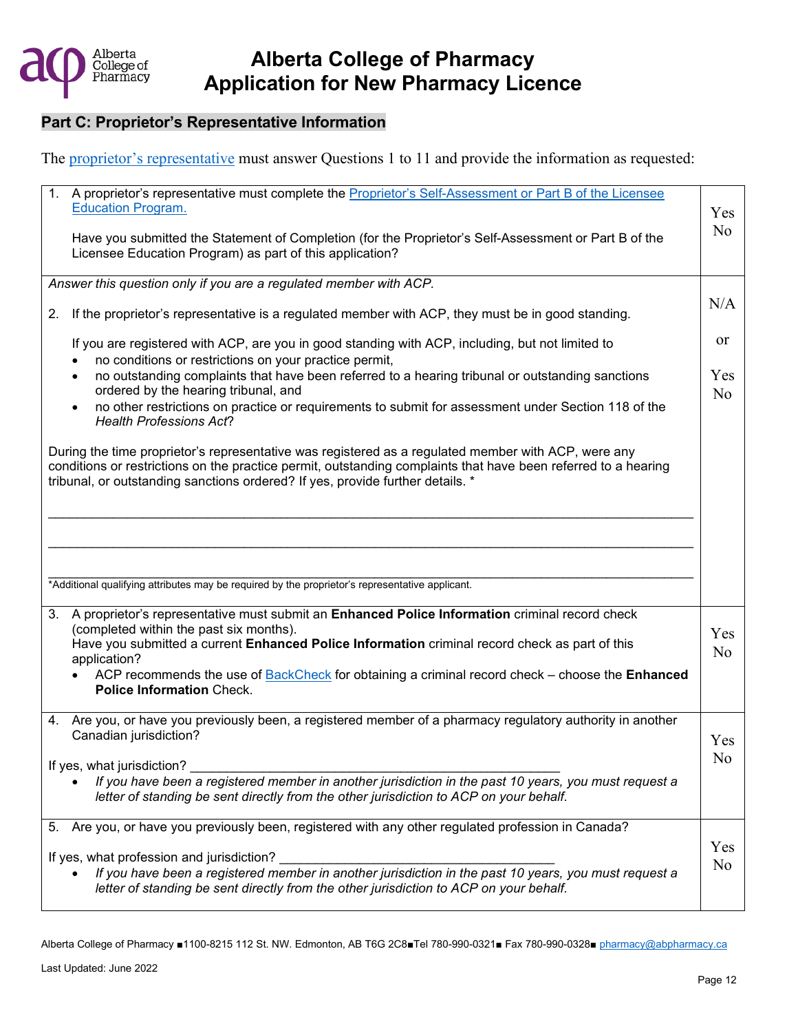

### **Part C: Proprietor's Representative Information**

The [proprietor's representative](https://abpharmacy.ca/sites/default/files/Licensee_vs_ProprietorsAgent.pdf) must answer Questions 1 to 11 and provide the information as requested:

| 1. A proprietor's representative must complete the Proprietor's Self-Assessment or Part B of the Licensee<br><b>Education Program.</b>                                                          |                |
|-------------------------------------------------------------------------------------------------------------------------------------------------------------------------------------------------|----------------|
|                                                                                                                                                                                                 | Yes            |
| Have you submitted the Statement of Completion (for the Proprietor's Self-Assessment or Part B of the                                                                                           | N <sub>o</sub> |
| Licensee Education Program) as part of this application?                                                                                                                                        |                |
|                                                                                                                                                                                                 |                |
| Answer this question only if you are a regulated member with ACP.                                                                                                                               |                |
|                                                                                                                                                                                                 |                |
| If the proprietor's representative is a regulated member with ACP, they must be in good standing.<br>2.                                                                                         | N/A            |
| If you are registered with ACP, are you in good standing with ACP, including, but not limited to<br>no conditions or restrictions on your practice permit,                                      | or             |
| no outstanding complaints that have been referred to a hearing tribunal or outstanding sanctions<br>$\bullet$                                                                                   | Yes            |
| ordered by the hearing tribunal, and                                                                                                                                                            | N <sub>o</sub> |
| no other restrictions on practice or requirements to submit for assessment under Section 118 of the                                                                                             |                |
| <b>Health Professions Act?</b>                                                                                                                                                                  |                |
| During the time proprietor's representative was registered as a regulated member with ACP, were any                                                                                             |                |
| conditions or restrictions on the practice permit, outstanding complaints that have been referred to a hearing                                                                                  |                |
| tribunal, or outstanding sanctions ordered? If yes, provide further details. *                                                                                                                  |                |
|                                                                                                                                                                                                 |                |
|                                                                                                                                                                                                 |                |
|                                                                                                                                                                                                 |                |
|                                                                                                                                                                                                 |                |
|                                                                                                                                                                                                 |                |
|                                                                                                                                                                                                 |                |
| *Additional qualifying attributes may be required by the proprietor's representative applicant.                                                                                                 |                |
|                                                                                                                                                                                                 |                |
| 3. A proprietor's representative must submit an Enhanced Police Information criminal record check                                                                                               |                |
| (completed within the past six months).                                                                                                                                                         |                |
|                                                                                                                                                                                                 | Yes            |
| Have you submitted a current Enhanced Police Information criminal record check as part of this                                                                                                  |                |
| application?                                                                                                                                                                                    | N <sub>o</sub> |
| ACP recommends the use of BackCheck for obtaining a criminal record check - choose the Enhanced                                                                                                 |                |
| <b>Police Information Check.</b>                                                                                                                                                                |                |
|                                                                                                                                                                                                 |                |
| 4. Are you, or have you previously been, a registered member of a pharmacy regulatory authority in another                                                                                      |                |
| Canadian jurisdiction?                                                                                                                                                                          | Yes            |
|                                                                                                                                                                                                 | No             |
| If yes, what jurisdiction?                                                                                                                                                                      |                |
| If you have been a registered member in another jurisdiction in the past 10 years, you must request a                                                                                           |                |
| letter of standing be sent directly from the other jurisdiction to ACP on your behalf.                                                                                                          |                |
|                                                                                                                                                                                                 |                |
| 5. Are you, or have you previously been, registered with any other regulated profession in Canada?                                                                                              |                |
|                                                                                                                                                                                                 | Yes            |
| If yes, what profession and jurisdiction?                                                                                                                                                       | No             |
| If you have been a registered member in another jurisdiction in the past 10 years, you must request a<br>letter of standing be sent directly from the other jurisdiction to ACP on your behalf. |                |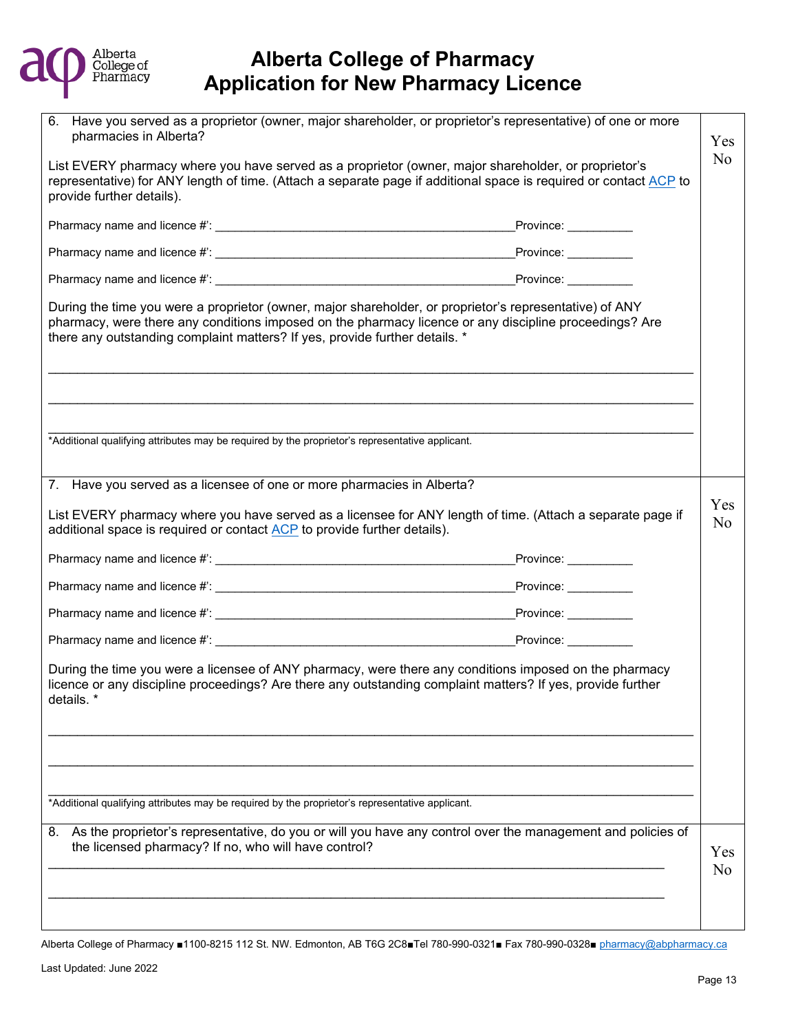

| Have you served as a proprietor (owner, major shareholder, or proprietor's representative) of one or more<br>6.<br>pharmacies in Alberta?                                                                                                                                                        |                          |  |  |
|--------------------------------------------------------------------------------------------------------------------------------------------------------------------------------------------------------------------------------------------------------------------------------------------------|--------------------------|--|--|
| List EVERY pharmacy where you have served as a proprietor (owner, major shareholder, or proprietor's<br>representative) for ANY length of time. (Attach a separate page if additional space is required or contact ACP to<br>provide further details).                                           |                          |  |  |
|                                                                                                                                                                                                                                                                                                  |                          |  |  |
|                                                                                                                                                                                                                                                                                                  | $P$ rovince: ___________ |  |  |
|                                                                                                                                                                                                                                                                                                  |                          |  |  |
| During the time you were a proprietor (owner, major shareholder, or proprietor's representative) of ANY<br>pharmacy, were there any conditions imposed on the pharmacy licence or any discipline proceedings? Are<br>there any outstanding complaint matters? If yes, provide further details. * |                          |  |  |
|                                                                                                                                                                                                                                                                                                  |                          |  |  |
| *Additional qualifying attributes may be required by the proprietor's representative applicant.                                                                                                                                                                                                  |                          |  |  |
| 7. Have you served as a licensee of one or more pharmacies in Alberta?                                                                                                                                                                                                                           |                          |  |  |
| List EVERY pharmacy where you have served as a licensee for ANY length of time. (Attach a separate page if<br>additional space is required or contact ACP to provide further details).                                                                                                           |                          |  |  |
|                                                                                                                                                                                                                                                                                                  | Province: Province:      |  |  |
|                                                                                                                                                                                                                                                                                                  |                          |  |  |
|                                                                                                                                                                                                                                                                                                  |                          |  |  |
|                                                                                                                                                                                                                                                                                                  |                          |  |  |
| During the time you were a licensee of ANY pharmacy, were there any conditions imposed on the pharmacy<br>licence or any discipline proceedings? Are there any outstanding complaint matters? If yes, provide further<br>details.                                                                |                          |  |  |
|                                                                                                                                                                                                                                                                                                  |                          |  |  |
| *Additional qualifying attributes may be required by the proprietor's representative applicant.                                                                                                                                                                                                  |                          |  |  |
| As the proprietor's representative, do you or will you have any control over the management and policies of<br>8.<br>the licensed pharmacy? If no, who will have control?                                                                                                                        |                          |  |  |
|                                                                                                                                                                                                                                                                                                  |                          |  |  |
|                                                                                                                                                                                                                                                                                                  |                          |  |  |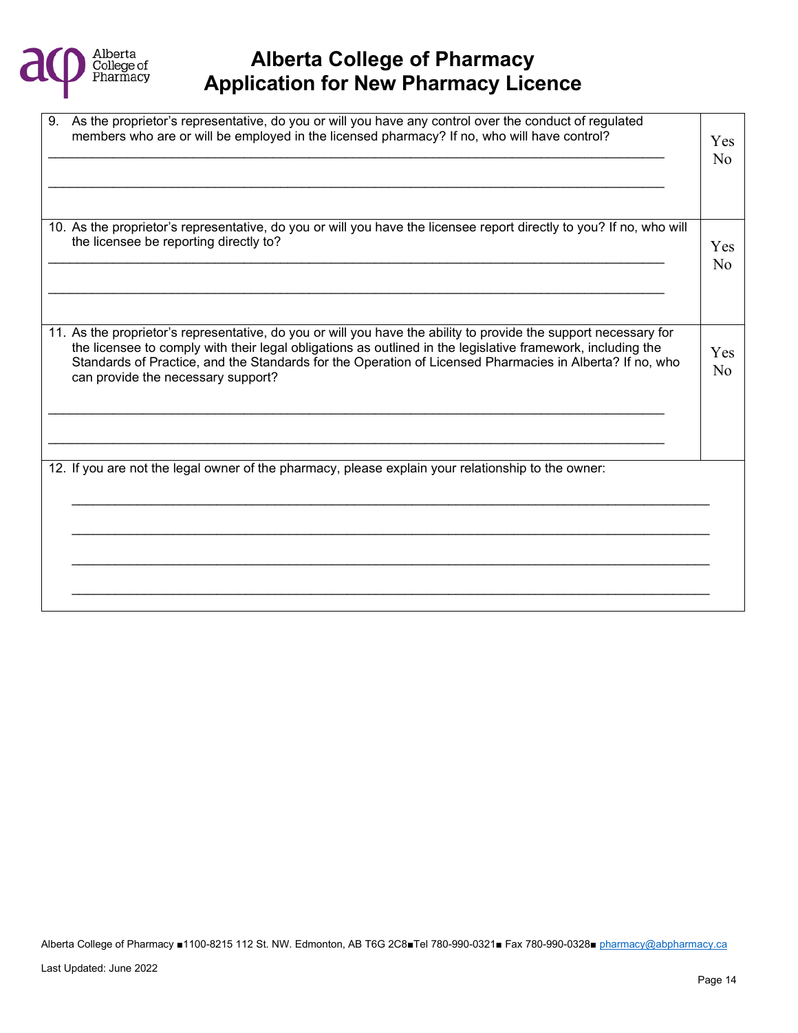

| 9. As the proprietor's representative, do you or will you have any control over the conduct of regulated<br>members who are or will be employed in the licensed pharmacy? If no, who will have control?                                                                                                                                                                           | Yes<br>No |
|-----------------------------------------------------------------------------------------------------------------------------------------------------------------------------------------------------------------------------------------------------------------------------------------------------------------------------------------------------------------------------------|-----------|
| 10. As the proprietor's representative, do you or will you have the licensee report directly to you? If no, who will<br>the licensee be reporting directly to?                                                                                                                                                                                                                    | Yes<br>No |
| 11. As the proprietor's representative, do you or will you have the ability to provide the support necessary for<br>the licensee to comply with their legal obligations as outlined in the legislative framework, including the<br>Standards of Practice, and the Standards for the Operation of Licensed Pharmacies in Alberta? If no, who<br>can provide the necessary support? | Yes<br>No |
| 12. If you are not the legal owner of the pharmacy, please explain your relationship to the owner:                                                                                                                                                                                                                                                                                |           |
|                                                                                                                                                                                                                                                                                                                                                                                   |           |
|                                                                                                                                                                                                                                                                                                                                                                                   |           |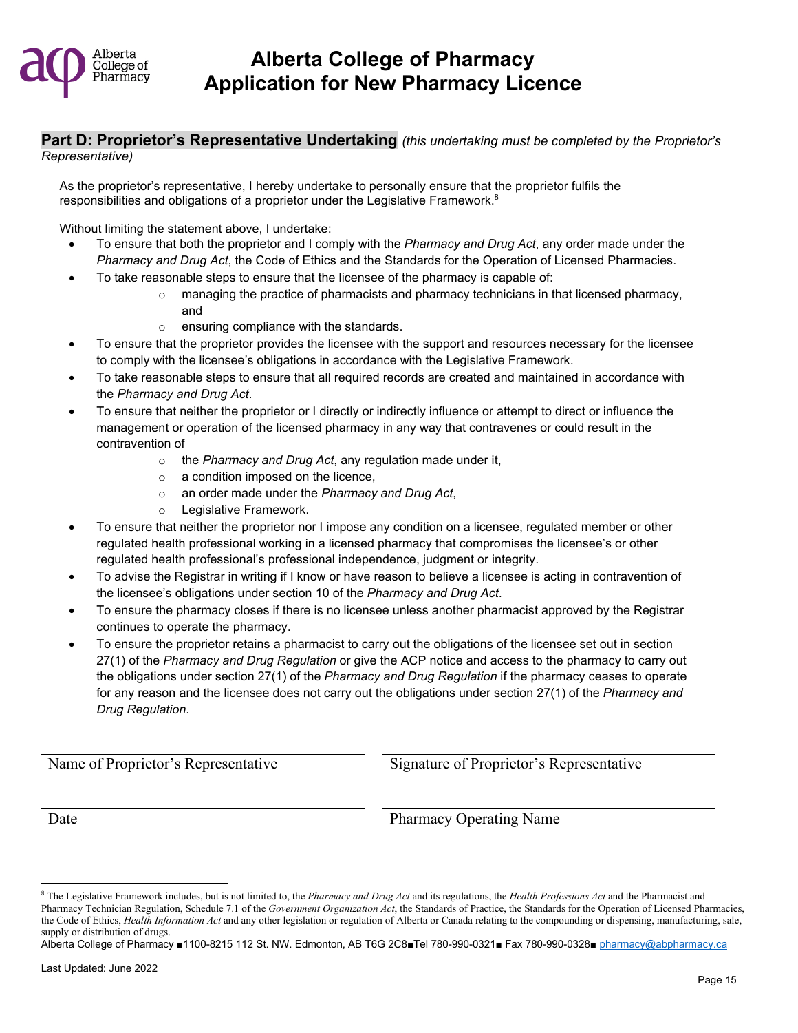

#### **Part D: Proprietor's Representative Undertaking** *(this undertaking must be completed by the Proprietor's Representative)*

As the proprietor's representative, I hereby undertake to personally ensure that the proprietor fulfils the responsibilities and obligations of a proprietor under the Legislative Framework[.](#page-14-0)<sup>8</sup>

Without limiting the statement above, I undertake:

- To ensure that both the proprietor and I comply with the *Pharmacy and Drug Act*, any order made under the *Pharmacy and Drug Act*, the Code of Ethics and the Standards for the Operation of Licensed Pharmacies.
	- To take reasonable steps to ensure that the licensee of the pharmacy is capable of:
		- $\circ$  managing the practice of pharmacists and pharmacy technicians in that licensed pharmacy, and
		- o ensuring compliance with the standards.
- To ensure that the proprietor provides the licensee with the support and resources necessary for the licensee to comply with the licensee's obligations in accordance with the Legislative Framework.
- To take reasonable steps to ensure that all required records are created and maintained in accordance with the *Pharmacy and Drug Act*.
- To ensure that neither the proprietor or I directly or indirectly influence or attempt to direct or influence the management or operation of the licensed pharmacy in any way that contravenes or could result in the contravention of
	- o the *Pharmacy and Drug Act*, any regulation made under it,
	- o a condition imposed on the licence,
	- o an order made under the *Pharmacy and Drug Act*,
	- o Legislative Framework.
- To ensure that neither the proprietor nor I impose any condition on a licensee, regulated member or other regulated health professional working in a licensed pharmacy that compromises the licensee's or other regulated health professional's professional independence, judgment or integrity.
- To advise the Registrar in writing if I know or have reason to believe a licensee is acting in contravention of the licensee's obligations under section 10 of the *Pharmacy and Drug Act*.
- To ensure the pharmacy closes if there is no licensee unless another pharmacist approved by the Registrar continues to operate the pharmacy.
- To ensure the proprietor retains a pharmacist to carry out the obligations of the licensee set out in section 27(1) of the *Pharmacy and Drug Regulation* or give the ACP notice and access to the pharmacy to carry out the obligations under section 27(1) of the *Pharmacy and Drug Regulation* if the pharmacy ceases to operate for any reason and the licensee does not carry out the obligations under section 27(1) of the *Pharmacy and Drug Regulation*.

Name of Proprietor's Representative Signature of Proprietor's Representative

Date Pharmacy Operating Name

<span id="page-14-0"></span><sup>8</sup> The Legislative Framework includes, but is not limited to, the *Pharmacy and Drug Act* and its regulations, the *Health Professions Act* and the Pharmacist and Pharmacy Technician Regulation, Schedule 7.1 of the *Government Organization Act*, the Standards of Practice, the Standards for the Operation of Licensed Pharmacies, the Code of Ethics, *Health Information Act* and any other legislation or regulation of Alberta or Canada relating to the compounding or dispensing, manufacturing, sale, supply or distribution of drugs.

Alberta College of Pharmacy ■1100-8215 112 St. NW. Edmonton, AB T6G 2C8■Tel 780-990-0321■ Fax 780-990-0328■ [pharmacy@abpharmacy.ca](mailto:pharmacy@abpharmacy.ca)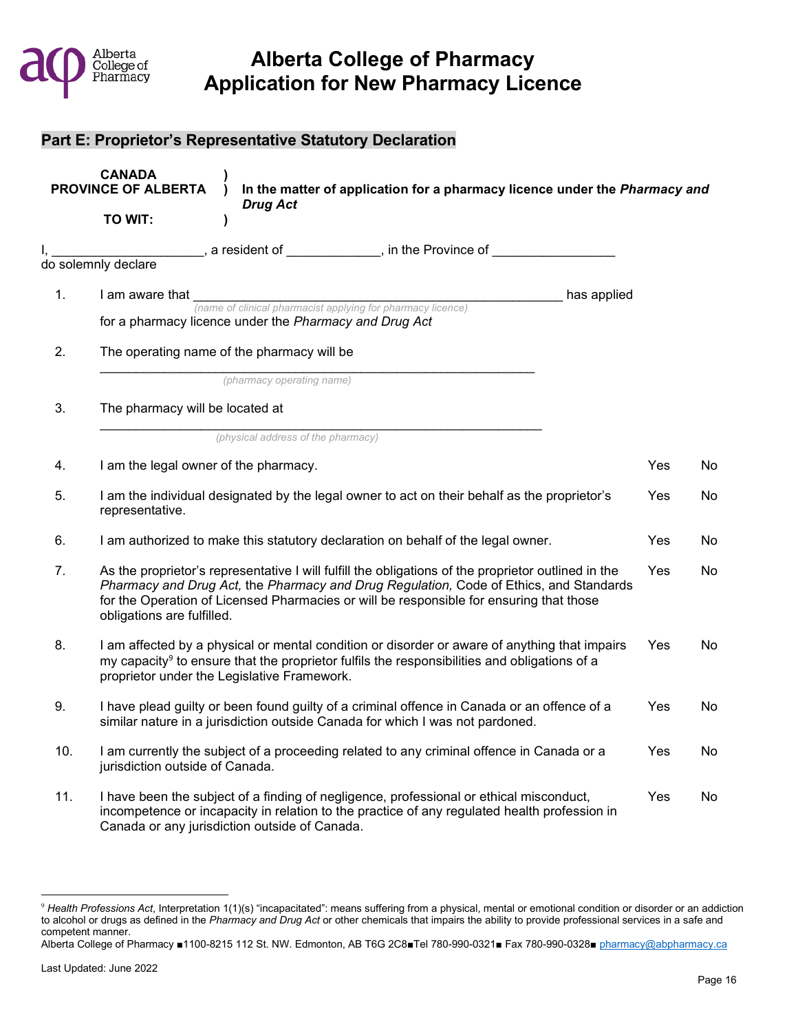

### **Part E: Proprietor's Representative Statutory Declaration**

| <b>CANADA</b><br><b>PROVINCE OF ALBERTA</b><br>In the matter of application for a pharmacy licence under the Pharmacy and<br><b>Drug Act</b> |                                                                                                                                                                                                                                                                                                                        |            |     |  |
|----------------------------------------------------------------------------------------------------------------------------------------------|------------------------------------------------------------------------------------------------------------------------------------------------------------------------------------------------------------------------------------------------------------------------------------------------------------------------|------------|-----|--|
|                                                                                                                                              | TO WIT:<br>$\lambda$                                                                                                                                                                                                                                                                                                   |            |     |  |
|                                                                                                                                              | $\qquad \qquad \ldots \qquad$ , a resident of ____________, in the Province of _____________<br>do solemnly declare                                                                                                                                                                                                    |            |     |  |
| 1.                                                                                                                                           | has applied<br>I am aware that<br>(name of clinical pharmacist applying for pharmacy licence)<br>for a pharmacy licence under the Pharmacy and Drug Act                                                                                                                                                                |            |     |  |
| 2.                                                                                                                                           | The operating name of the pharmacy will be                                                                                                                                                                                                                                                                             |            |     |  |
| 3.                                                                                                                                           | (pharmacy operating name)<br>The pharmacy will be located at                                                                                                                                                                                                                                                           |            |     |  |
| 4.                                                                                                                                           | (physical address of the pharmacy)<br>I am the legal owner of the pharmacy.                                                                                                                                                                                                                                            | Yes        | No  |  |
| 5.                                                                                                                                           | I am the individual designated by the legal owner to act on their behalf as the proprietor's<br>representative.                                                                                                                                                                                                        | Yes        | No  |  |
| 6.                                                                                                                                           | I am authorized to make this statutory declaration on behalf of the legal owner.                                                                                                                                                                                                                                       | <b>Yes</b> | No  |  |
| 7.                                                                                                                                           | As the proprietor's representative I will fulfill the obligations of the proprietor outlined in the<br>Pharmacy and Drug Act, the Pharmacy and Drug Regulation, Code of Ethics, and Standards<br>for the Operation of Licensed Pharmacies or will be responsible for ensuring that those<br>obligations are fulfilled. |            |     |  |
| 8.                                                                                                                                           | I am affected by a physical or mental condition or disorder or aware of anything that impairs<br>my capacity <sup>9</sup> to ensure that the proprietor fulfils the responsibilities and obligations of a<br>proprietor under the Legislative Framework.                                                               |            |     |  |
| 9.                                                                                                                                           | I have plead guilty or been found guilty of a criminal offence in Canada or an offence of a<br>similar nature in a jurisdiction outside Canada for which I was not pardoned.                                                                                                                                           | Yes        | No  |  |
| 10.                                                                                                                                          | I am currently the subject of a proceeding related to any criminal offence in Canada or a<br>jurisdiction outside of Canada.                                                                                                                                                                                           | <b>Yes</b> | No. |  |
| 11.                                                                                                                                          | I have been the subject of a finding of negligence, professional or ethical misconduct,<br>incompetence or incapacity in relation to the practice of any regulated health profession in<br>Canada or any jurisdiction outside of Canada.                                                                               | Yes        | No  |  |

<span id="page-15-0"></span><sup>&</sup>lt;sup>9</sup> Health Professions Act, Interpretation 1(1)(s) "incapacitated": means suffering from a physical, mental or emotional condition or disorder or an addiction to alcohol or drugs as defined in the *Pharmacy and Drug Act* or other chemicals that impairs the ability to provide professional services in a safe and competent manner.

Alberta College of Pharmacy ■1100-8215 112 St. NW. Edmonton, AB T6G 2C8■Tel 780-990-0321■ Fax 780-990-0328■ [pharmacy@abpharmacy.ca](mailto:pharmacy@abpharmacy.ca)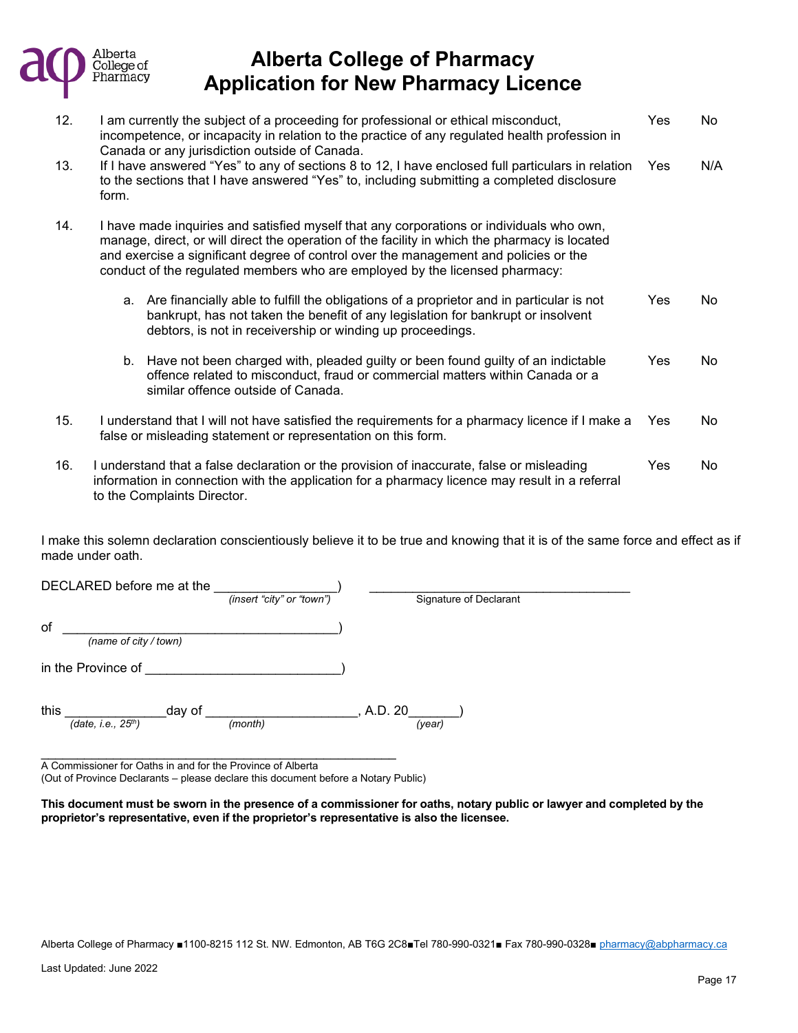

| 12. | I am currently the subject of a proceeding for professional or ethical misconduct,<br>incompetence, or incapacity in relation to the practice of any regulated health profession in<br>Canada or any jurisdiction outside of Canada.                                                                                                                             |                                                                                                                                                                                                                                            |            | No  |
|-----|------------------------------------------------------------------------------------------------------------------------------------------------------------------------------------------------------------------------------------------------------------------------------------------------------------------------------------------------------------------|--------------------------------------------------------------------------------------------------------------------------------------------------------------------------------------------------------------------------------------------|------------|-----|
| 13. | form.                                                                                                                                                                                                                                                                                                                                                            | If I have answered "Yes" to any of sections 8 to 12, I have enclosed full particulars in relation<br>to the sections that I have answered "Yes" to, including submitting a completed disclosure                                            | <b>Yes</b> | N/A |
| 14. | I have made inquiries and satisfied myself that any corporations or individuals who own,<br>manage, direct, or will direct the operation of the facility in which the pharmacy is located<br>and exercise a significant degree of control over the management and policies or the<br>conduct of the regulated members who are employed by the licensed pharmacy: |                                                                                                                                                                                                                                            |            |     |
|     | a.                                                                                                                                                                                                                                                                                                                                                               | Are financially able to fulfill the obligations of a proprietor and in particular is not<br>bankrupt, has not taken the benefit of any legislation for bankrupt or insolvent<br>debtors, is not in receivership or winding up proceedings. | Yes        | No  |
|     |                                                                                                                                                                                                                                                                                                                                                                  | b. Have not been charged with, pleaded guilty or been found guilty of an indictable<br>offence related to misconduct, fraud or commercial matters within Canada or a<br>similar offence outside of Canada.                                 | Yes        | No  |
| 15. | I understand that I will not have satisfied the requirements for a pharmacy licence if I make a<br>false or misleading statement or representation on this form.                                                                                                                                                                                                 |                                                                                                                                                                                                                                            |            | No. |
| 16. | I understand that a false declaration or the provision of inaccurate, false or misleading<br>Yes<br>information in connection with the application for a pharmacy licence may result in a referral<br>to the Complaints Director.                                                                                                                                |                                                                                                                                                                                                                                            |            | No  |

I make this solemn declaration conscientiously believe it to be true and knowing that it is of the same force and effect as if made under oath.

| DECLARED before me at the                  | (insert "city" or "town") | Signature of Declarant |
|--------------------------------------------|---------------------------|------------------------|
| of<br>(name of city / town)                |                           |                        |
| in the Province of                         |                           |                        |
| this<br>day of<br>(date, i.e., $25^{th}$ ) | (month)                   | A.D. 20<br>(year)      |

\_\_\_\_\_\_\_\_\_\_\_\_\_\_\_\_\_\_\_\_\_\_\_\_\_\_\_\_\_\_\_\_\_\_\_\_\_\_\_\_\_\_\_\_\_\_\_\_\_ A Commissioner for Oaths in and for the Province of Alberta (Out of Province Declarants – please declare this document before a Notary Public)

**This document must be sworn in the presence of a commissioner for oaths, notary public or lawyer and completed by the proprietor's representative, even if the proprietor's representative is also the licensee.**

Alberta College of Pharmacy ■1100-8215 112 St. NW. Edmonton, AB T6G 2C8■Tel 780-990-0321■ Fax 780-990-0328■ [pharmacy@abpharmacy.ca](mailto:pharmacy@abpharmacy.ca)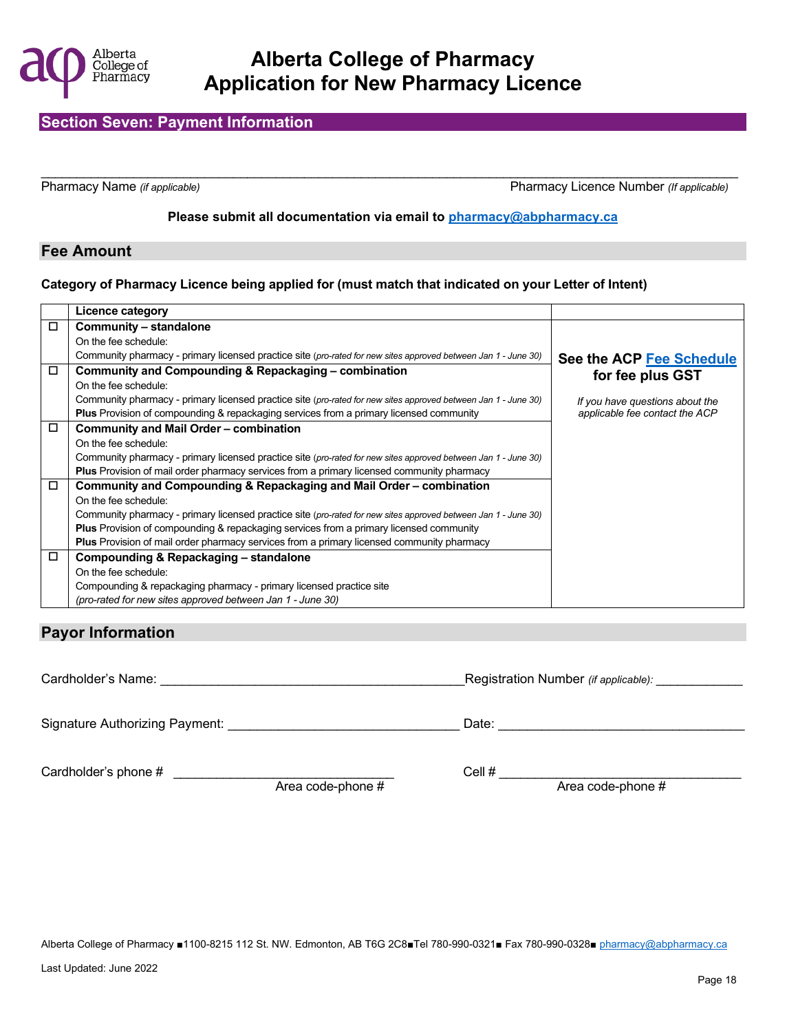

### **Section Seven: Payment Information**

\_\_\_\_\_\_\_\_\_\_\_\_\_\_\_\_\_\_\_\_\_\_\_\_\_\_\_\_\_\_\_\_\_\_\_\_\_\_\_\_\_\_\_\_\_\_\_\_\_\_\_\_\_\_\_\_\_\_\_\_\_\_\_\_\_\_\_\_\_\_\_\_\_\_\_\_\_\_\_\_\_\_\_\_\_\_\_\_\_\_\_\_\_\_\_\_\_\_

Pharmacy Name *(if applicable)* Pharmacy Licence Number *(If applicable)*

#### **Please submit all documentation via email to [pharmacy@abpharmacy.ca](mailto:pharmacy@abpharmacy.ca)**

#### **Fee Amount**

#### **Category of Pharmacy Licence being applied for (must match that indicated on your Letter of Intent)**

|        | Licence category                                                                                               |                                 |
|--------|----------------------------------------------------------------------------------------------------------------|---------------------------------|
| $\Box$ | Community – standalone                                                                                         |                                 |
|        | On the fee schedule:                                                                                           |                                 |
|        | Community pharmacy - primary licensed practice site (pro-rated for new sites approved between Jan 1 - June 30) | See the ACP Fee Schedule        |
| $\Box$ | Community and Compounding & Repackaging - combination                                                          | for fee plus GST                |
|        | On the fee schedule:                                                                                           |                                 |
|        | Community pharmacy - primary licensed practice site (pro-rated for new sites approved between Jan 1 - June 30) | If you have questions about the |
|        | <b>Plus</b> Provision of compounding & repackaging services from a primary licensed community                  | applicable fee contact the ACP  |
| $\Box$ | Community and Mail Order - combination                                                                         |                                 |
|        | On the fee schedule:                                                                                           |                                 |
|        | Community pharmacy - primary licensed practice site (pro-rated for new sites approved between Jan 1 - June 30) |                                 |
|        | <b>Plus</b> Provision of mail order pharmacy services from a primary licensed community pharmacy               |                                 |
| $\Box$ | Community and Compounding & Repackaging and Mail Order - combination                                           |                                 |
|        | On the fee schedule:                                                                                           |                                 |
|        | Community pharmacy - primary licensed practice site (pro-rated for new sites approved between Jan 1 - June 30) |                                 |
|        | <b>Plus</b> Provision of compounding & repackaging services from a primary licensed community                  |                                 |
|        | <b>Plus</b> Provision of mail order pharmacy services from a primary licensed community pharmacy               |                                 |
| $\Box$ | Compounding & Repackaging - standalone                                                                         |                                 |
|        | On the fee schedule:                                                                                           |                                 |
|        | Compounding & repackaging pharmacy - primary licensed practice site                                            |                                 |
|        | (pro-rated for new sites approved between Jan 1 - June 30)                                                     |                                 |

### **Payor Information**

| Cardholder's Name:             |                   | Registration Number (if applicable): |
|--------------------------------|-------------------|--------------------------------------|
| Signature Authorizing Payment: |                   | Date:                                |
| Cardholder's phone #           | Area code-phone # | Cell #<br>Area code-phone #          |

Alberta College of Pharmacy ■1100-8215 112 St. NW. Edmonton, AB T6G 2C8■Tel 780-990-0321■ Fax 780-990-0328■ [pharmacy@abpharmacy.ca](mailto:pharmacy@abpharmacy.ca)